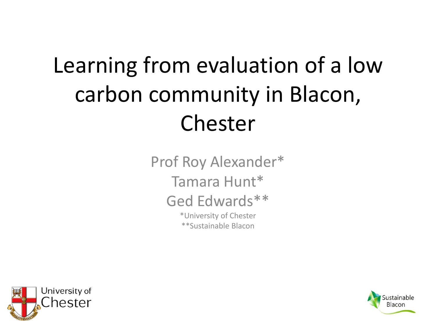### Learning from evaluation of a low carbon community in Blacon, Chester

Prof Roy Alexander\* Tamara Hunt\* Ged Edwards\*\* \*University of Chester \*\*Sustainable Blacon



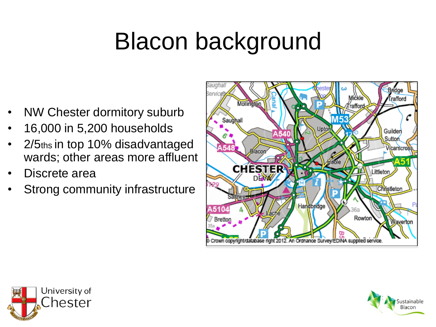## Blacon background

- NW Chester dormitory suburb
- 16,000 in 5,200 households
- 2/5ths in top 10% disadvantaged wards; other areas more affluent
- Discrete area
- Strong community infrastructure





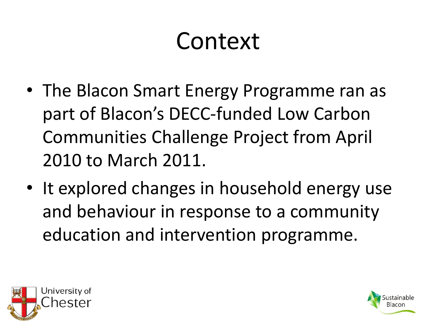### Context

- The Blacon Smart Energy Programme ran as part of Blacon's DECC-funded Low Carbon Communities Challenge Project from April 2010 to March 2011.
- It explored changes in household energy use and behaviour in response to a community education and intervention programme.



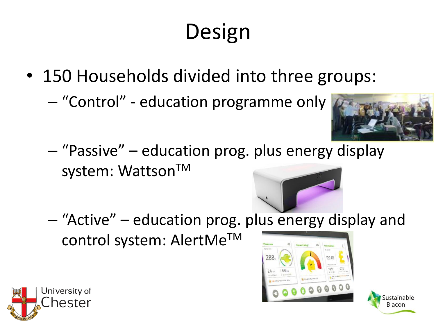### Design

- 150 Households divided into three groups:
	- "Control" education programme only



Sustainable

Blacon

– "Passive" – education prog. plus energy display system: Wattson™



– "Active" – education prog. plus energy display and control system: AlertMeTM



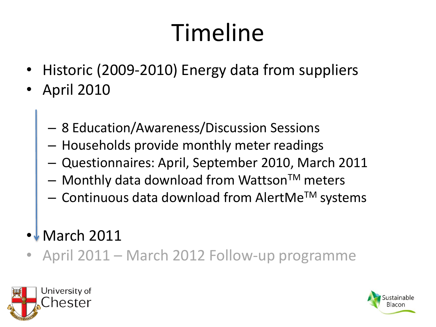## Timeline

- Historic (2009-2010) Energy data from suppliers
- April 2010
	- 8 Education/Awareness/Discussion Sessions
	- Households provide monthly meter readings
	- Questionnaires: April, September 2010, March 2011
	- $-$  Monthly data download from Wattson<sup>TM</sup> meters
	- Continuous data download from AlertMeTM systems
- **March 2011**
- April 2011 March 2012 Follow-up programme



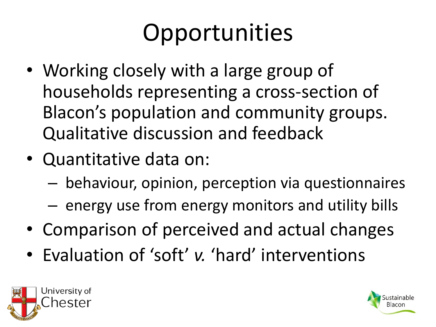## Opportunities

- Working closely with a large group of households representing a cross-section of Blacon's population and community groups. Qualitative discussion and feedback
- Quantitative data on:
	- behaviour, opinion, perception via questionnaires
	- energy use from energy monitors and utility bills
- Comparison of perceived and actual changes
- Evaluation of 'soft' *v.* 'hard' interventions



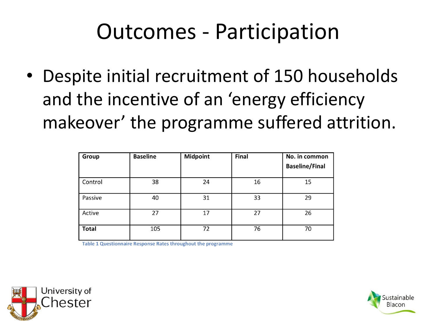#### Outcomes - Participation

• Despite initial recruitment of 150 households and the incentive of an 'energy efficiency makeover' the programme suffered attrition.

| Group        | <b>Baseline</b> | <b>Midpoint</b> | Final | No. in common<br><b>Baseline/Final</b> |
|--------------|-----------------|-----------------|-------|----------------------------------------|
| Control      | 38              | 24              | 16    | 15                                     |
| Passive      | 40              | 31              | 33    | 29                                     |
| Active       | 27              | 17              | 27    | 26                                     |
| <b>Total</b> | 105             | 72              | 76    | 70                                     |

Table 1 Questionnaire Response Rates throughout the programme



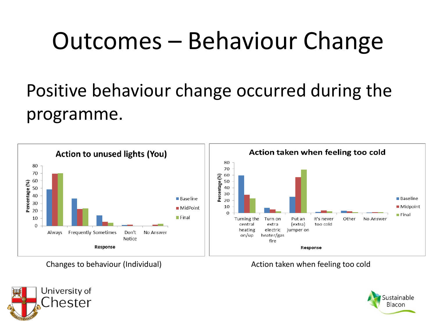### Outcomes – Behaviour Change

#### Positive behaviour change occurred during the programme.



Changes to behaviour (Individual) and the matrix of the Action taken when feeling too cold



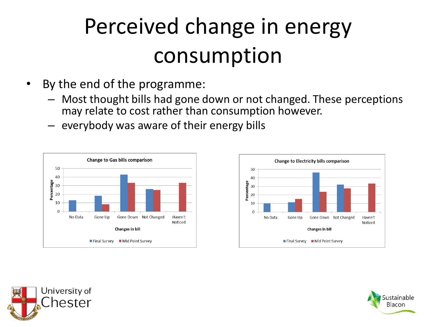### Perceived change in energy consumption

- By the end of the programme:
	- Most thought bills had gone down or not changed. These perceptions may relate to cost rather than consumption however.
	- everybody was aware of their energy bills







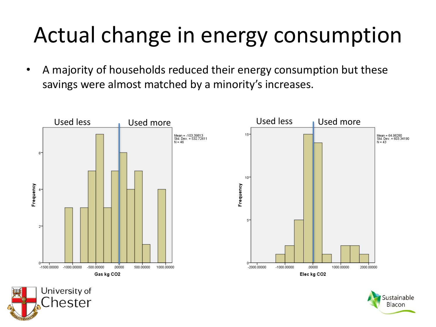### Actual change in energy consumption

• A majority of households reduced their energy consumption but these savings were almost matched by a minority's increases.





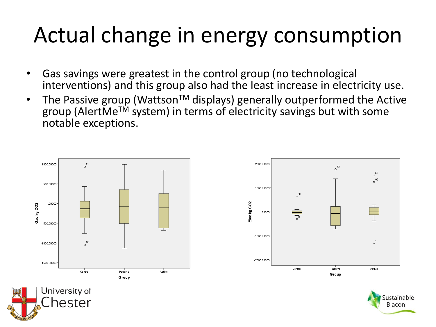#### Actual change in energy consumption

- Gas savings were greatest in the control group (no technological interventions) and this group also had the least increase in electricity use.
- The Passive group (Wattson<sup>TM</sup> displays) generally outperformed the Active group (AlertMeTM system) in terms of electricity savings but with some notable exceptions.







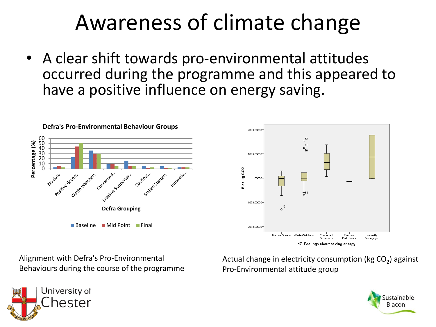#### Awareness of climate change

• A clear shift towards pro-environmental attitudes occurred during the programme and this appeared to have a positive influence on energy saving.





Alignment with Defra's Pro-Environmental Behaviours during the course of the programme

Actual change in electricity consumption (kg CO<sub>2</sub>) against Pro-Environmental attitude group



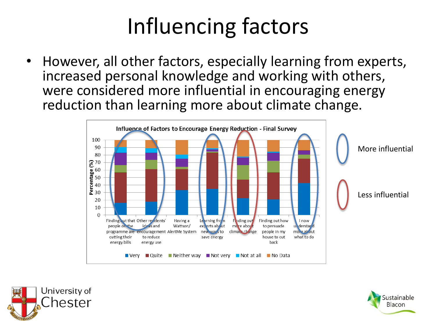### Influencing factors

• However, all other factors, especially learning from experts, increased personal knowledge and working with others, were considered more influential in encouraging energy reduction than learning more about climate change.





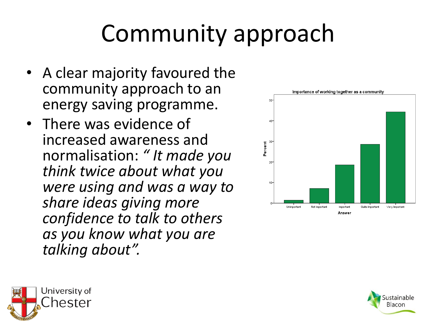# Community approach

- A clear majority favoured the community approach to an energy saving programme.
- There was evidence of increased awareness and normalisation: *" It made you think twice about what you were using and was a way to share ideas giving more confidence to talk to others as you know what you are talking about".*





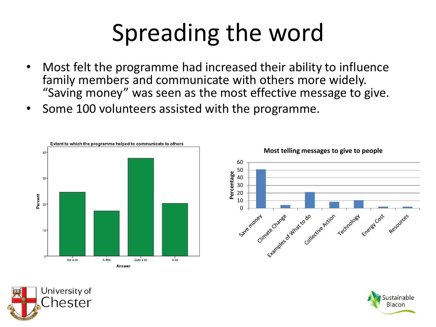# Spreading the word

- Most felt the programme had increased their ability to influence family members and communicate with others more widely. "Saving money" was seen as the most effective message to give.
- Some 100 volunteers assisted with the programme.







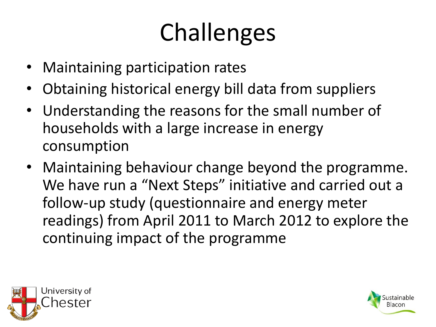# Challenges

- Maintaining participation rates
- Obtaining historical energy bill data from suppliers
- Understanding the reasons for the small number of households with a large increase in energy consumption
- Maintaining behaviour change beyond the programme. We have run a "Next Steps" initiative and carried out a follow-up study (questionnaire and energy meter readings) from April 2011 to March 2012 to explore the continuing impact of the programme



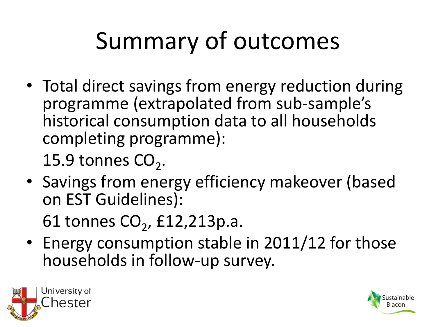# Summary of outcomes

• Total direct savings from energy reduction during programme (extrapolated from sub-sample's historical consumption data to all households completing programme):

15.9 tonnes  $\text{CO}_2$ .

• Savings from energy efficiency makeover (based on EST Guidelines):

61 tonnes  $CO_2$ , £12,213p.a.

• Energy consumption stable in 2011/12 for those households in follow-up survey.